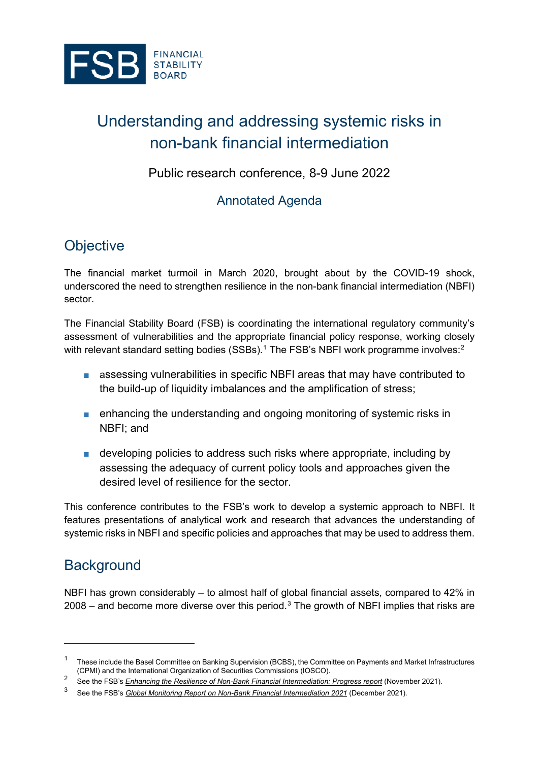

# Understanding and addressing systemic risks in non-bank financial intermediation

Public research conference, 8-9 June 2022

## Annotated Agenda

## **Objective**

The financial market turmoil in March 2020, brought about by the COVID-19 shock, underscored the need to strengthen resilience in the non-bank financial intermediation (NBFI) sector.

The Financial Stability Board (FSB) is coordinating the international regulatory community's assessment of vulnerabilities and the appropriate financial policy response, working closely with relevant standard setting bodies (SSBs). $^{\rm 1}$  $^{\rm 1}$  $^{\rm 1}$  The FSB's NBFI work programme involves: $^{\rm 2}$  $^{\rm 2}$  $^{\rm 2}$ 

- assessing vulnerabilities in specific NBFI areas that may have contributed to the build-up of liquidity imbalances and the amplification of stress;
- enhancing the understanding and ongoing monitoring of systemic risks in NBFI; and
- developing policies to address such risks where appropriate, including by assessing the adequacy of current policy tools and approaches given the desired level of resilience for the sector.

This conference contributes to the FSB's work to develop a systemic approach to NBFI. It features presentations of analytical work and research that advances the understanding of systemic risks in NBFI and specific policies and approaches that may be used to address them.

## **Background**

NBFI has grown considerably – to almost half of global financial assets, compared to 42% in 2008 – and become more diverse over this period.<sup>[3](#page-0-2)</sup> The growth of NBFI implies that risks are

<span id="page-0-0"></span> $^{\rm 1}$  These include the Basel Committee on Banking Supervision (BCBS), the Committee on Payments and Market Infrastructures (CPMI) and the International Organization of Securities Commissions (IOSCO).

<span id="page-0-1"></span><sup>2</sup> See the FSB's *[Enhancing the Resilience of Non-Bank Financial Intermediation: Progress report](https://www.fsb.org/2021/11/enhancing-the-resilience-of-non-bank-financial-intermediation-progress-report/)* (November 2021).

<span id="page-0-2"></span><sup>3</sup> See the FSB's *[Global Monitoring Report on Non-Bank Financial Intermediation 2021](https://www.fsb.org/2021/12/global-monitoring-report-on-non-bank-financial-intermediation-2021/)* (December 2021).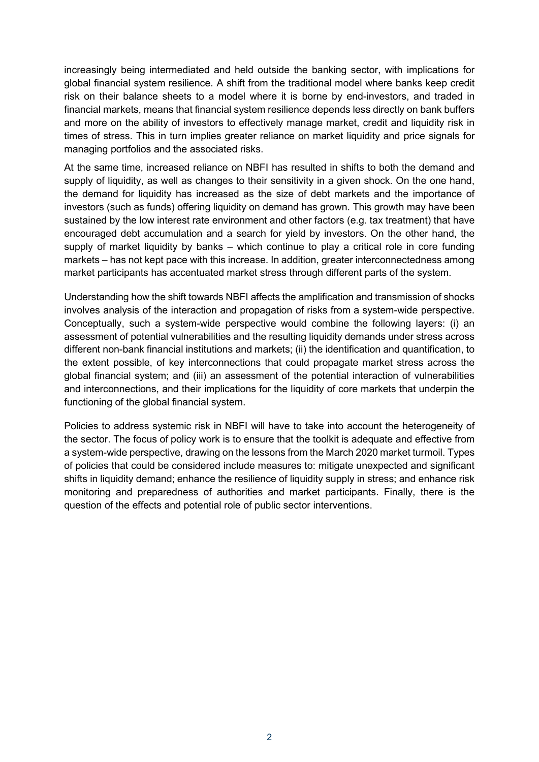increasingly being intermediated and held outside the banking sector, with implications for global financial system resilience. A shift from the traditional model where banks keep credit risk on their balance sheets to a model where it is borne by end-investors, and traded in financial markets, means that financial system resilience depends less directly on bank buffers and more on the ability of investors to effectively manage market, credit and liquidity risk in times of stress. This in turn implies greater reliance on market liquidity and price signals for managing portfolios and the associated risks.

At the same time, increased reliance on NBFI has resulted in shifts to both the demand and supply of liquidity, as well as changes to their sensitivity in a given shock. On the one hand, the demand for liquidity has increased as the size of debt markets and the importance of investors (such as funds) offering liquidity on demand has grown. This growth may have been sustained by the low interest rate environment and other factors (e.g. tax treatment) that have encouraged debt accumulation and a search for yield by investors. On the other hand, the supply of market liquidity by banks – which continue to play a critical role in core funding markets – has not kept pace with this increase. In addition, greater interconnectedness among market participants has accentuated market stress through different parts of the system.

Understanding how the shift towards NBFI affects the amplification and transmission of shocks involves analysis of the interaction and propagation of risks from a system-wide perspective. Conceptually, such a system-wide perspective would combine the following layers: (i) an assessment of potential vulnerabilities and the resulting liquidity demands under stress across different non-bank financial institutions and markets; (ii) the identification and quantification, to the extent possible, of key interconnections that could propagate market stress across the global financial system; and (iii) an assessment of the potential interaction of vulnerabilities and interconnections, and their implications for the liquidity of core markets that underpin the functioning of the global financial system.

Policies to address systemic risk in NBFI will have to take into account the heterogeneity of the sector. The focus of policy work is to ensure that the toolkit is adequate and effective from a system-wide perspective, drawing on the lessons from the March 2020 market turmoil. Types of policies that could be considered include measures to: mitigate unexpected and significant shifts in liquidity demand; enhance the resilience of liquidity supply in stress; and enhance risk monitoring and preparedness of authorities and market participants. Finally, there is the question of the effects and potential role of public sector interventions.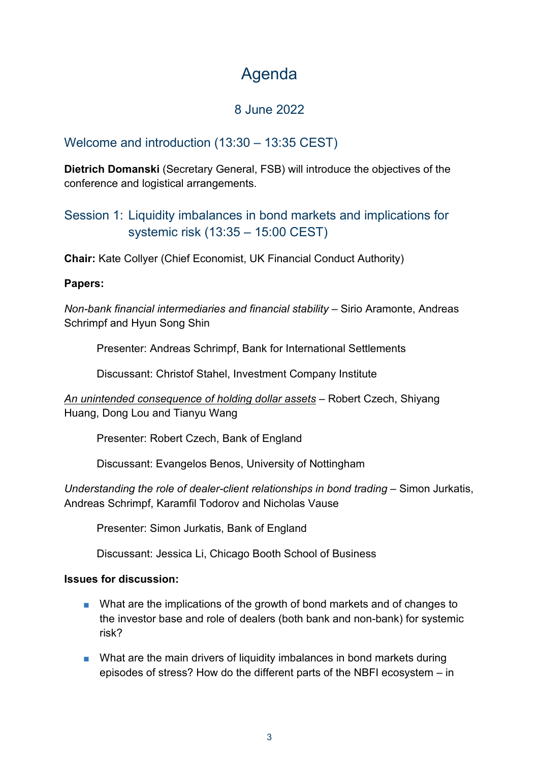# Agenda

## 8 June 2022

## Welcome and introduction (13:30 – 13:35 CEST)

**Dietrich Domanski** (Secretary General, FSB) will introduce the objectives of the conference and logistical arrangements.

## Session 1: Liquidity imbalances in bond markets and implications for systemic risk (13:35 – 15:00 CEST)

**Chair:** Kate Collyer (Chief Economist, UK Financial Conduct Authority)

#### **Papers:**

*Non-bank financial intermediaries and financial stability* – Sirio Aramonte, Andreas Schrimpf and Hyun Song Shin

Presenter: Andreas Schrimpf, Bank for International Settlements

Discussant: Christof Stahel, Investment Company Institute

*[An unintended consequence of holding dollar assets](https://www.bankofengland.co.uk/working-paper/2021/an-unintended-consequence-of-holding-dollar-assets)* – Robert Czech, Shiyang Huang, Dong Lou and Tianyu Wang

Presenter: Robert Czech, Bank of England

Discussant: Evangelos Benos, University of Nottingham

*Understanding the role of dealer-client relationships in bond trading – Simon Jurkatis,* Andreas Schrimpf, Karamfil Todorov and Nicholas Vause

Presenter: Simon Jurkatis, Bank of England

Discussant: Jessica Li, Chicago Booth School of Business

#### **Issues for discussion:**

- What are the implications of the growth of bond markets and of changes to the investor base and role of dealers (both bank and non-bank) for systemic risk?
- What are the main drivers of liquidity imbalances in bond markets during episodes of stress? How do the different parts of the NBFI ecosystem – in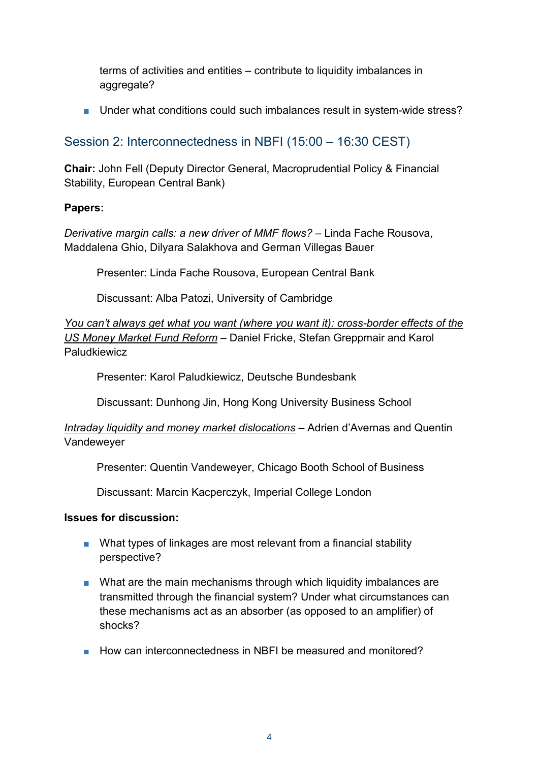terms of activities and entities – contribute to liquidity imbalances in aggregate?

■ Under what conditions could such imbalances result in system-wide stress?

## Session 2: Interconnectedness in NBFI (15:00 – 16:30 CEST)

**Chair:** John Fell (Deputy Director General, Macroprudential Policy & Financial Stability, European Central Bank)

#### **Papers:**

*Derivative margin calls: a new driver of MMF flows?* – Linda Fache Rousova, Maddalena Ghio, Dilyara Salakhova and German Villegas Bauer

Presenter: Linda Fache Rousova, European Central Bank

Discussant: Alba Patozi, University of Cambridge

*[You can't always get what you want \(where you want it\): cross-border effects of the](https://papers.ssrn.com/sol3/papers.cfm?abstract_id=4006406)  [US Money Market Fund Reform](https://papers.ssrn.com/sol3/papers.cfm?abstract_id=4006406)* – Daniel Fricke, Stefan Greppmair and Karol Paludkiewicz

Presenter: Karol Paludkiewicz, Deutsche Bundesbank

Discussant: Dunhong Jin, Hong Kong University Business School

#### *[Intraday liquidity and money market dislocations](http://www.adriendavernas.com/papers/repomadness.pdf)* – Adrien d'Avernas and Quentin Vandeweyer

Presenter: Quentin Vandeweyer, Chicago Booth School of Business

Discussant: Marcin Kacperczyk, Imperial College London

#### **Issues for discussion:**

- What types of linkages are most relevant from a financial stability perspective?
- What are the main mechanisms through which liquidity imbalances are transmitted through the financial system? Under what circumstances can these mechanisms act as an absorber (as opposed to an amplifier) of shocks?
- How can interconnectedness in NBFI be measured and monitored?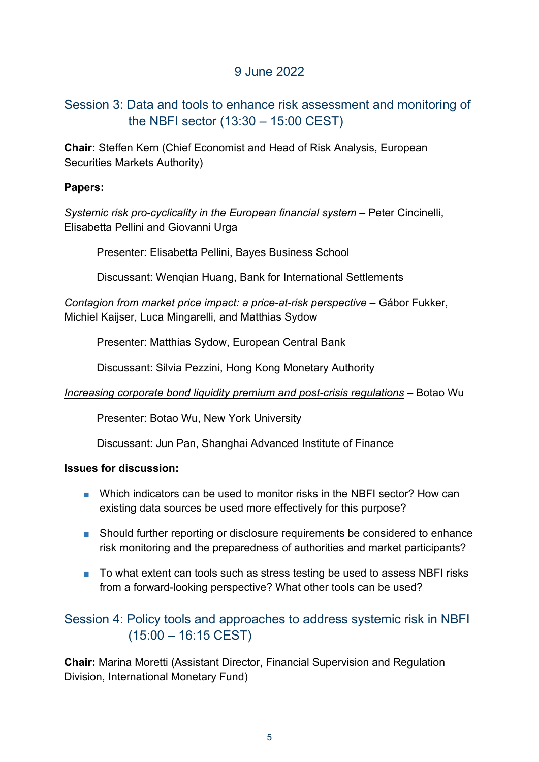## 9 June 2022

## Session 3: Data and tools to enhance risk assessment and monitoring of the NBFI sector (13:30 – 15:00 CEST)

**Chair:** Steffen Kern (Chief Economist and Head of Risk Analysis, European Securities Markets Authority)

#### **Papers:**

*Systemic risk pro-cyclicality in the European financial system – Peter Cincinelli,* Elisabetta Pellini and Giovanni Urga

Presenter: Elisabetta Pellini, Bayes Business School

Discussant: Wenqian Huang, Bank for International Settlements

*Contagion from market price impact: a price-at-risk perspective* – Gábor Fukker, Michiel Kaijser, Luca Mingarelli, and Matthias Sydow

Presenter: Matthias Sydow, European Central Bank

Discussant: Silvia Pezzini, Hong Kong Monetary Authority

*[Increasing corporate bond liquidity premium and post-crisis regulations](https://papers.ssrn.com/sol3/papers.cfm?abstract_id=3613379)* – Botao Wu

Presenter: Botao Wu, New York University

Discussant: Jun Pan, Shanghai Advanced Institute of Finance

#### **Issues for discussion:**

- Which indicators can be used to monitor risks in the NBFI sector? How can existing data sources be used more effectively for this purpose?
- Should further reporting or disclosure requirements be considered to enhance risk monitoring and the preparedness of authorities and market participants?
- To what extent can tools such as stress testing be used to assess NBFI risks from a forward-looking perspective? What other tools can be used?

## Session 4: Policy tools and approaches to address systemic risk in NBFI (15:00 – 16:15 CEST)

**Chair:** Marina Moretti (Assistant Director, Financial Supervision and Regulation Division, International Monetary Fund)